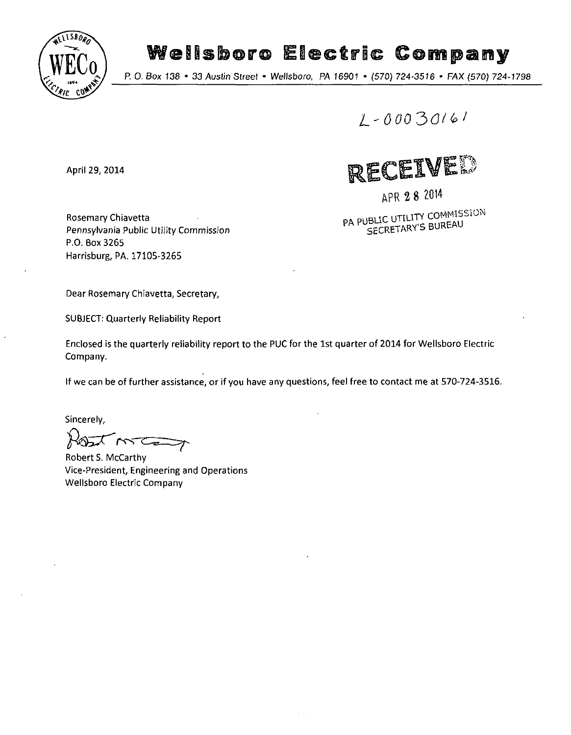

# Wellsboro Electric Company<br>P. 0. Box 138 • 33 Austin Street • Wellsboro, PA 16901 • (570) 724-3516 • FAX (570) 724-1798

*0 00 30/* 

April 29, 2014

Rosemary Chiavetta Pennsylvania Public Utility Commission P.O. Box3265 Harrisburg, PA. 17105-3265

RECEIVER

APR 2 8 ZOH

PA PUBLIC UTILITY COMMISSION SECRETARY'S BUREAU

Dear Rosemary Chiavetta, Secretary,

SUBJECT: Quarterly Reliability Report

Enclosed is the quarterly reliability report to the PUC for the 1st quarter of 2014 for Wellsboro Electric Company.

If we can be of further assistance, or if you have any questions, feel free to contact me at 570-724-3516.

Sincerely,

 $M_{\odot}$   $\sim$ 

Robert S. McCarthy Vice-President, Engineering and Operations Wellsboro Electric Company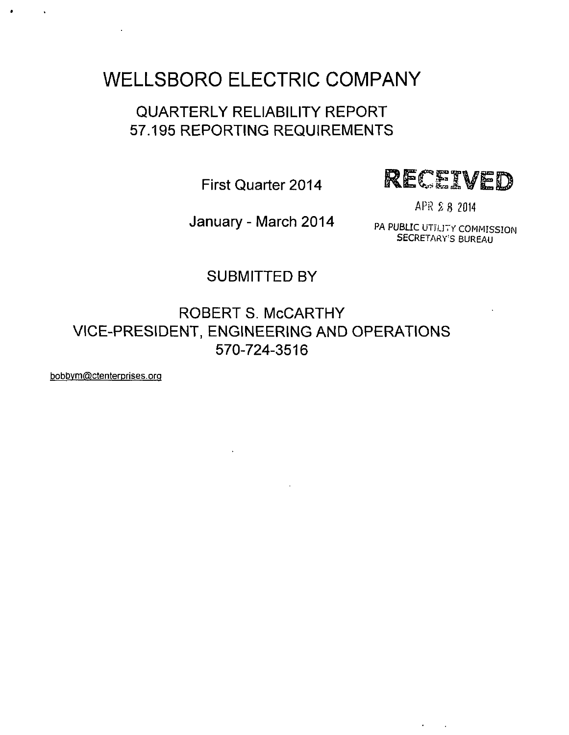# **WELLSBORO ELECTRIC COMPANY**

## QUARTERLY RELIABILITY REPORT 57.195 REPORTING REQUIREMENTS



APR 2 8 2014

January - March 2014 PA PUBLIC UTTLITY COMMISSION

SECRETARY'S BUREAU

 $\epsilon = 1/2$  .

### SUBMITTED BY

ROBERT S. McCARTHY VICE-PRESIDENT, ENGINEERING AND OPERATIONS 570-724-3516

bobbvm@ctenterprises.orq

 $\ddot{\phantom{a}}$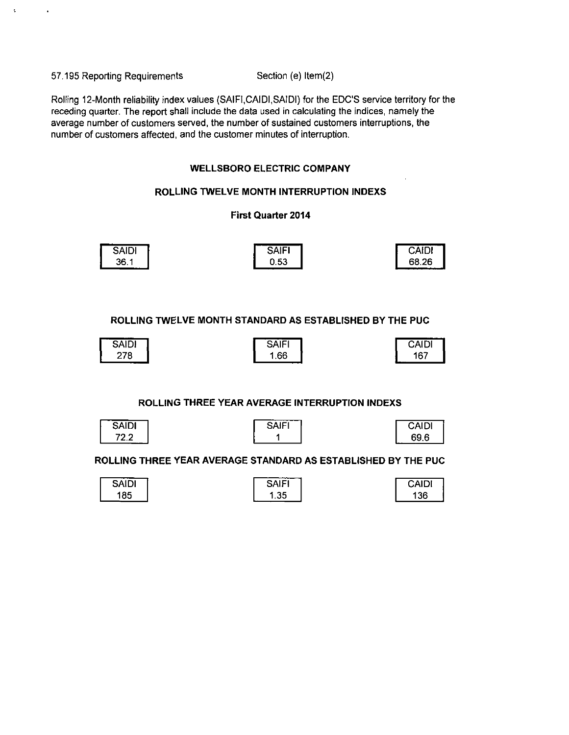57.195 Reporting Requirements Section (e) Item(2)

 $\ddot{\cdot}$ 

Rolling 12-Month reliability index values (SAIFI.CAIDI.SAIDI) for the EDO'S service territory for the receding quarter. The report shall include the data used in calculating the indices, namely the average number of customers served, the number of sustained customers interruptions, the number of customers affected, and the customer minutes of interruption.

#### **WELLSBORO ELECTRIC COMPANY**

#### **ROLLING TWELVE MONTH INTERRUPTION INDEXS**

#### **First Quarter 2014**

| <b>SAIDI</b> | SAIF <sup>®</sup> | CAIDI |
|--------------|-------------------|-------|
| 36.1         | 0.53              | 68.26 |

**ROLLING TWELVE MONTH STANDARD AS ESTABLISHED BY THE PUC** 

| ------<br>$\cdots$<br><u>а</u> і<br>ושו<br>ູ∽ | NF  | -----<br>הוגר<br>CAIDI |
|-----------------------------------------------|-----|------------------------|
| 278                                           | .66 | 167<br>----            |

#### **ROLLING THREE YEAR AVERAGE INTERRUPTION INDEXS**

| SAIDI |  |
|-------|--|
|       |  |

| SAIFI |
|-------|
|       |

| CAIDI |  |
|-------|--|
| 69 6  |  |

**ROLLING THREE YEAR AVERAGE STANDARD AS ESTABLISHED BY THE PUC** 

| SAIDI | ' AlFٽ | CAIDI |
|-------|--------|-------|
| 185   | .35    | 36    |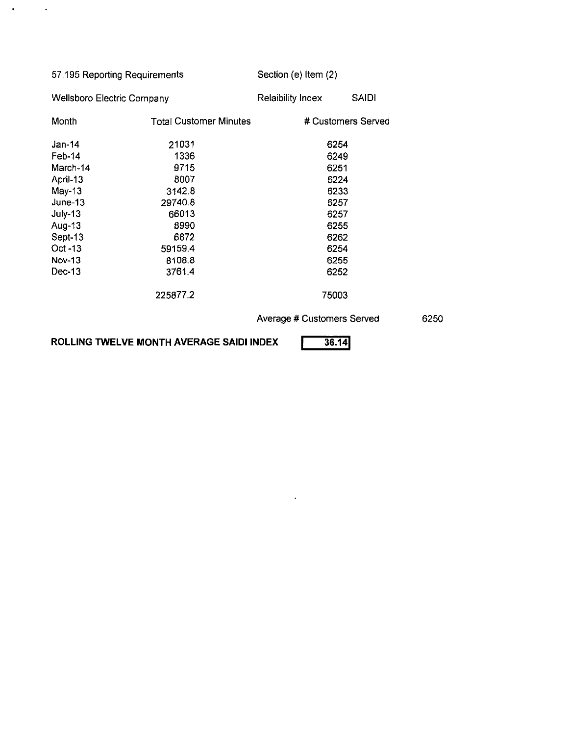| 57.195 Reporting Requirements     |                               | Section (e) Item (2)     |                    |  |
|-----------------------------------|-------------------------------|--------------------------|--------------------|--|
| <b>Wellsboro Electric Company</b> |                               | <b>Relaibility Index</b> | <b>SAIDI</b>       |  |
| Month                             | <b>Total Customer Minutes</b> |                          | # Customers Served |  |
| $Jan-14$                          | 21031                         | 6254                     |                    |  |
| Feb-14                            | 1336                          | 6249                     |                    |  |
| March-14                          | 9715                          | 6251                     |                    |  |
| April-13                          | 8007                          | 6224                     |                    |  |
| $May-13$                          | 3142.8                        | 6233                     |                    |  |
| June-13                           | 29740.8                       | 6257                     |                    |  |
| July-13                           | 66013                         | 6257                     |                    |  |
| Aug-13                            | 8990                          | 6255                     |                    |  |
| Sept-13                           | 6872                          | 6262                     |                    |  |
| $Oct -13$                         | 59159.4                       | 6254                     |                    |  |
| <b>Nov-13</b>                     | 8108.8                        | 6255                     |                    |  |
| Dec-13                            | 3761.4                        | 6252                     |                    |  |
|                                   | 225877.2                      | 75003                    |                    |  |

**Average # Customers Served** 

6250

**ROLLING TWELVE MONTH AVERAGE SAIDI INDEX** 

 $\mathcal{A}^{\mathcal{A}}$  and  $\mathcal{A}^{\mathcal{A}}$ 

**36.14|** 

 $\sim 10^{-1}$ 

 $\mathcal{A}^{\mathrm{c}}$  and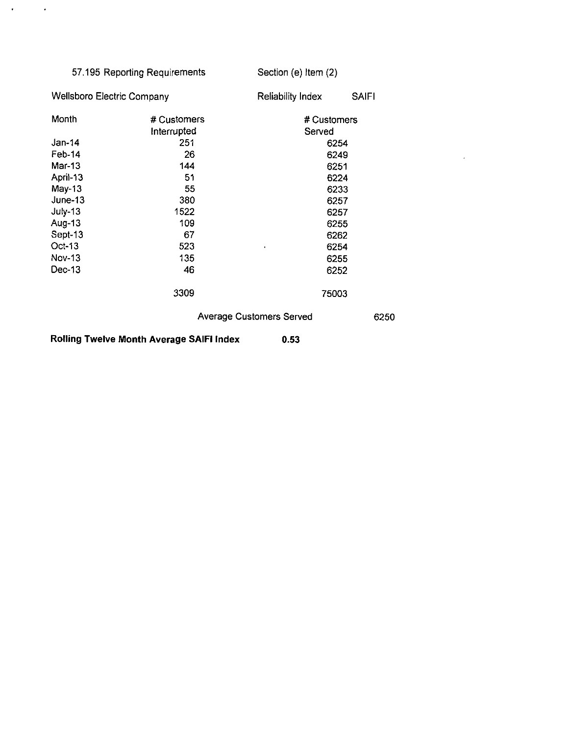| 57.195 Reporting Requirements     |             | Section (e) Item (2)            |              |  |  |
|-----------------------------------|-------------|---------------------------------|--------------|--|--|
| <b>Wellsboro Electric Company</b> |             | <b>Reliability Index</b>        | <b>SAIFI</b> |  |  |
| Month                             | # Customers | # Customers                     |              |  |  |
|                                   | Interrupted | Served                          |              |  |  |
| Jan-14                            | 251         | 6254                            |              |  |  |
| Feb-14                            | 26          | 6249                            |              |  |  |
| Mar-13                            | 144         | 6251                            |              |  |  |
| April-13                          | 51          | 6224                            |              |  |  |
| $May-13$                          | 55          | 6233                            |              |  |  |
| June-13                           | 380         | 6257                            |              |  |  |
| July-13                           | 1522        | 6257                            |              |  |  |
| Aug-13                            | 109         | 6255                            |              |  |  |
| Sept-13                           | 67          | 6262                            |              |  |  |
| Oct-13                            | 523         | 6254<br>$\blacksquare$          |              |  |  |
| Nov-13                            | 135         | 6255                            |              |  |  |
| Dec-13                            | 46          | 6252                            |              |  |  |
|                                   | 3309        | 75003                           |              |  |  |
|                                   |             | <b>Average Customers Served</b> | 6250         |  |  |

 $\mathcal{A}^{\mathcal{A}}$ 

**Rolling Twelve Month Average SAIFI Index 0.53** 

 $\sim$   $\lambda$ 

 $\mathbf{r}$  .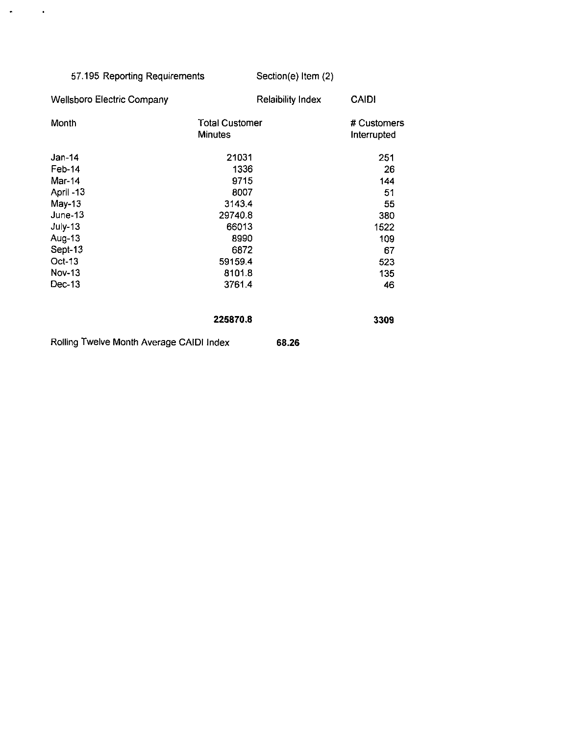| 57.195 Reporting Requirements            |                                         | Section(e) Item (2)      |                            |
|------------------------------------------|-----------------------------------------|--------------------------|----------------------------|
| <b>Wellsboro Electric Company</b>        |                                         | <b>Relaibility Index</b> | <b>CAIDI</b>               |
| Month                                    | <b>Total Customer</b><br><b>Minutes</b> |                          | # Customers<br>Interrupted |
| $Jan-14$                                 | 21031                                   |                          | 251                        |
| Feb-14                                   | 1336                                    |                          | 26                         |
| Mar-14                                   | 9715                                    |                          | 144                        |
| April -13                                | 8007                                    |                          | 51                         |
| $May-13$                                 | 3143.4                                  |                          | 55                         |
| June-13                                  | 29740.8                                 |                          | 380                        |
| July-13                                  | 66013                                   |                          | 1522                       |
| Aug-13                                   | 8990                                    |                          | 109                        |
| Sept-13                                  | 6872                                    |                          | 67                         |
| Oct-13                                   | 59159.4                                 |                          | 523                        |
| <b>Nov-13</b>                            | 8101.8                                  |                          | 135                        |
| Dec-13                                   | 37614                                   |                          | 46                         |
|                                          | 225870.8                                |                          | 3309                       |
| Rolling Twelve Month Average CAIDI Index |                                         | 68.26                    |                            |

 $\mathcal{A}^{\text{max}}_{\text{max}}$  and  $\mathcal{A}^{\text{max}}_{\text{max}}$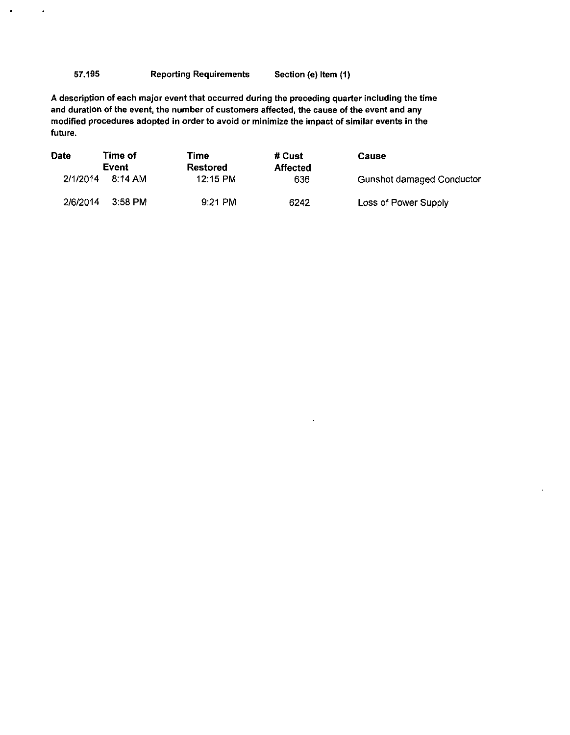#### 57.195 Reporting Requirements Section (e) Item (1)

ù.

A description of each major event that occurred during the preceding quarter including the time and duration of the event, the number of customers affected, the cause of the event and any modified procedures adopted in order to avoid or minimize the impact of similar events in the future.

| <b>Date</b> | Time of | Time      | # Cust          | Cause                     |
|-------------|---------|-----------|-----------------|---------------------------|
|             | Event   | Restored  | <b>Affected</b> |                           |
| 2/1/2014    | 8:14 AM | 12:15 PM  | 636             | Gunshot damaged Conductor |
| 2/6/2014    | 3:58 PM | $9:21$ PM | 6242            | Loss of Power Supply      |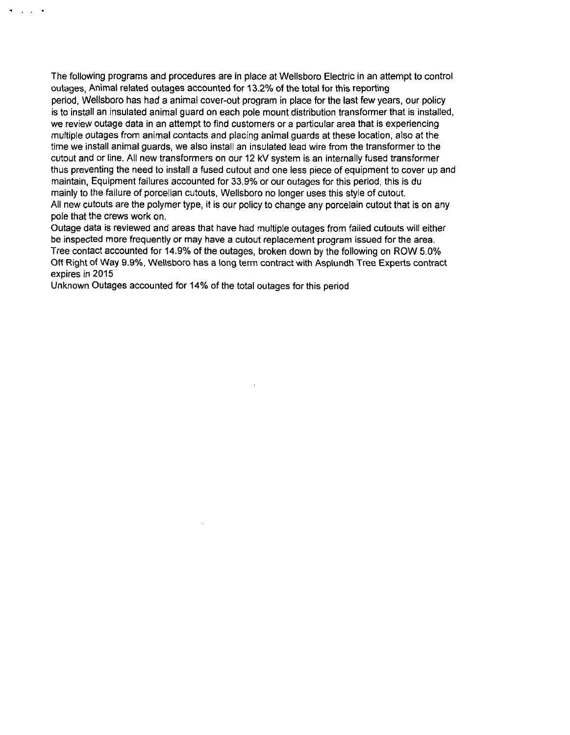The following programs and procedures are in place at Wellsboro Electric in an attempt to control outages, Animal related outages accounted for 13.2% of the total for this reporting period, Wellsboro has had a animal cover-out program in place for the last few years, our policy is to install an insulated animal guard on each pole mount distribution transformer that is installed, we review outage data in an attempt to find customers or a particular area that is experiencing multiple outages from animal contacts and placing animal guards at these location, also at the time we install animal guards, we also install an insulated lead wire from the transformer to the cutout and or line. All new transformers on our 12 kV system is an internally fused transformer thus preventing the need to install a fused cutout and one less piece of equipment to cover up and maintain, Equipment failures accounted for 33.9% or our outages for this period, this is du mainly to the failure of porcelian cutouts, Wellsboro no longer uses this style of cutout. All new cutouts are the polymer type, it is our policy to change any porcelain cutout that is on any pole that the crews work on.

Outage data is reviewed and areas that have had multiple outages from failed cutouts will either be inspected more frequently or may have a cutout replacement program issued for the area. Tree contact accounted for 14.9% of the outages, broken down by the following on ROW 5.0% Off Right of Way 9.9%, Wellsboro has a long term contract with Asplundh Tree Experts contract expires in 2015

Unknown Outages accounted for 14% of the total outages for this period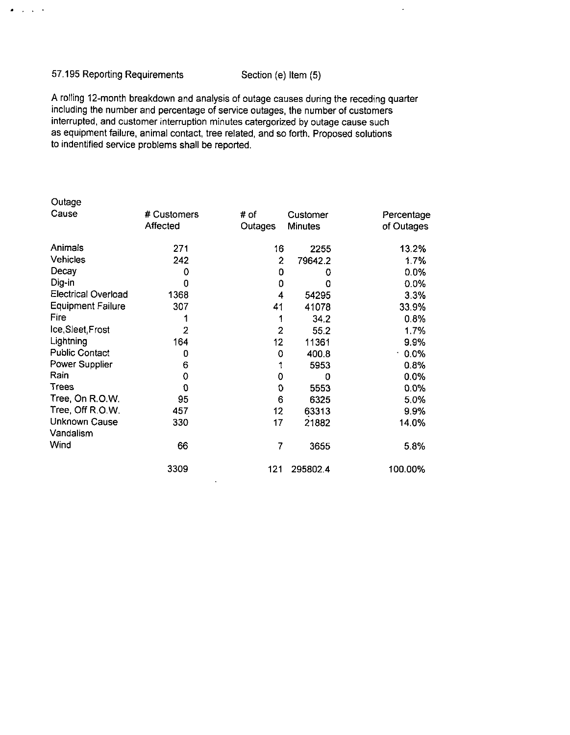#### 57.195 Reporting Requirements Section (e) Item (5)

 $\bullet$  ,  $\bullet$  ,  $\bullet$ 

 $\ddot{\phantom{a}}$ 

A rolling 12-month breakdown and analysis of outage causes during the receding quarter including the number and percentage of service outages, the number of customers interrupted, and customer interruption minutes catergorized by outage cause such as equipment failure, animal contact, tree related, and so forth. Proposed solutions to indentified service problems shall be reported.

| Outage                     |                |                 |                |            |
|----------------------------|----------------|-----------------|----------------|------------|
| Cause                      | # Customers    | # of            | Customer       | Percentage |
|                            | Affected       | Outages         | <b>Minutes</b> | of Outages |
| Animals                    | 271            | 16              | 2255           | 13.2%      |
| <b>Vehicles</b>            | 242            | 2               | 79642.2        | 1.7%       |
| Decay                      | 0              | 0               | 0              | 0.0%       |
| Dig-in                     | 0              | 0               | 0              | 0.0%       |
| <b>Electrical Overload</b> | 1368           | 4               | 54295          | 3.3%       |
| <b>Equipment Failure</b>   | 307            | 41              | 41078          | 33.9%      |
| Fire                       | 1              | 1               | 34.2           | 0.8%       |
| Ice, Sleet, Frost          | $\overline{2}$ | $\overline{2}$  | 55.2           | 1.7%       |
| Lightning                  | 164            | 12 <sub>2</sub> | 11361          | 9.9%       |
| <b>Public Contact</b>      | 0              | 0               | 400.8          | 0.0%       |
| Power Supplier             | 6              |                 | 5953           | 0.8%       |
| Rain                       | 0              | 0               | 0              | 0.0%       |
| Trees                      | 0              | O               | 5553           | 0.0%       |
| Tree, On R.O.W.            | 95             | 6               | 6325           | 5.0%       |
| Tree, Off R.O.W.           | 457            | 12              | 63313          | 9.9%       |
| Unknown Cause              | 330            | 17              | 21882          | 14.0%      |
| Vandalism                  |                |                 |                |            |
| Wind                       | 66             | 7               | 3655           | 5.8%       |
|                            | 3309           | 121             | 295802.4       | 100.00%    |

 $\ddot{\phantom{1}}$